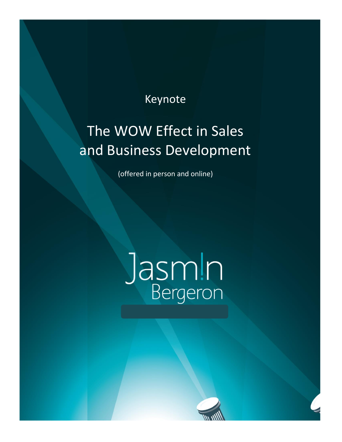## Keynote

## The WOW Effect in Sales and Business Development

(offered in person and online)

# Jasm!n

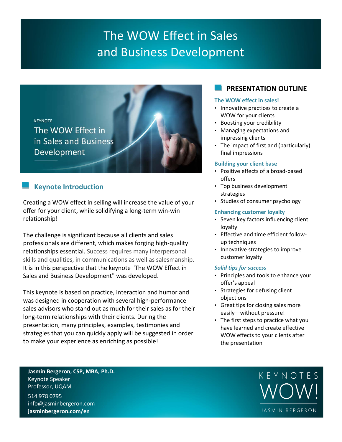## The WOW Effect in Sales and Business Development



#### **Keynote Introduction**

Creating a WOW effect in selling will increase the value of your offer for your client, while solidifying a long-term win-win relationship!

The challenge is significant because all clients and sales professionals are different, which makes forging high-quality relationships essential. Success requires many interpersonal skills and qualities, in communications as well as salesmanship. It is in this perspective that the keynote "The WOW Effect in Sales and Business Development" was developed.

This keynote is based on practice, interaction and humor and was designed in cooperation with several high-performance sales advisors who stand out as much for their sales as for their long-term relationships with their clients. During the presentation, many principles, examples, testimonies and strategies that you can quickly apply will be suggested in order to make your experience as enriching as possible!

#### **PRESENTATION OUTLINE**

#### **The WOW effect in sales!**

- Innovative practices to create a WOW for your clients
- Boosting your credibility
- Managing expectations and impressing clients
- The impact of first and (particularly) final impressions

#### **Building your client base**

- Positive effects of a broad-based offers
- Top business development strategies
- Studies of consumer psychology

#### **Enhancing customer loyalty**

- Seven key factors influencing client loyalty
- Effective and time efficient followup techniques
- Innovative strategies to improve customer loyalty

#### *Solid tips for success*

- Principles and tools to enhance your offer's appeal
- Strategies for defusing client objections
- Great tips for closing sales more easily—without pressure!
- The first steps to practice what you have learned and create effective WOW effects to your clients after the presentation

**Jasmin Bergeron, CSP, MBA, Ph.D.** Keynote Speaker Professor, UQAM

514 978 0795 info@jasminbergeron.com **jasminbergeron.com/en**